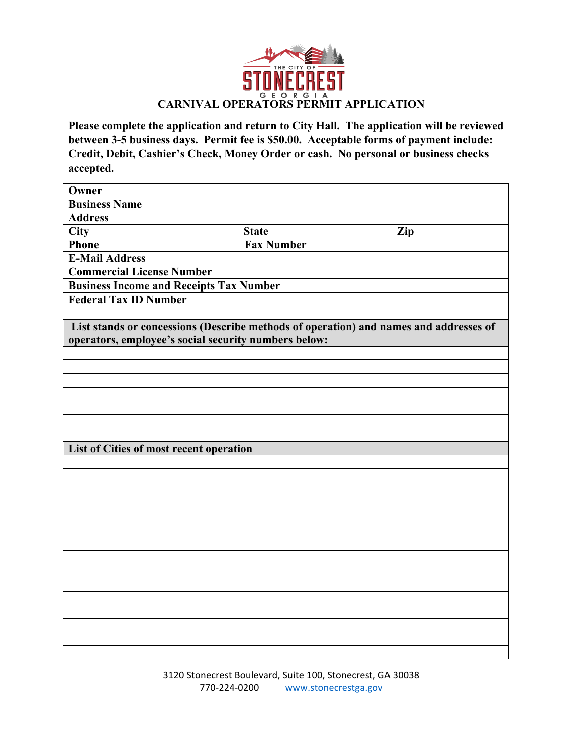

**Please complete the application and return to City Hall. The application will be reviewed between 3-5 business days. Permit fee is \$50.00. Acceptable forms of payment include: Credit, Debit, Cashier's Check, Money Order or cash. No personal or business checks accepted.**

| Owner                                                                                 |                   |     |  |  |  |  |  |
|---------------------------------------------------------------------------------------|-------------------|-----|--|--|--|--|--|
| <b>Business Name</b>                                                                  |                   |     |  |  |  |  |  |
| <b>Address</b>                                                                        |                   |     |  |  |  |  |  |
| <b>City</b>                                                                           | <b>State</b>      | Zip |  |  |  |  |  |
| <b>Phone</b>                                                                          | <b>Fax Number</b> |     |  |  |  |  |  |
| <b>E-Mail Address</b>                                                                 |                   |     |  |  |  |  |  |
| <b>Commercial License Number</b>                                                      |                   |     |  |  |  |  |  |
| <b>Business Income and Receipts Tax Number</b>                                        |                   |     |  |  |  |  |  |
| <b>Federal Tax ID Number</b>                                                          |                   |     |  |  |  |  |  |
|                                                                                       |                   |     |  |  |  |  |  |
| List stands or concessions (Describe methods of operation) and names and addresses of |                   |     |  |  |  |  |  |
| operators, employee's social security numbers below:                                  |                   |     |  |  |  |  |  |
|                                                                                       |                   |     |  |  |  |  |  |
|                                                                                       |                   |     |  |  |  |  |  |
|                                                                                       |                   |     |  |  |  |  |  |
|                                                                                       |                   |     |  |  |  |  |  |
|                                                                                       |                   |     |  |  |  |  |  |
|                                                                                       |                   |     |  |  |  |  |  |
|                                                                                       |                   |     |  |  |  |  |  |
| List of Cities of most recent operation                                               |                   |     |  |  |  |  |  |
|                                                                                       |                   |     |  |  |  |  |  |
|                                                                                       |                   |     |  |  |  |  |  |
|                                                                                       |                   |     |  |  |  |  |  |
|                                                                                       |                   |     |  |  |  |  |  |
|                                                                                       |                   |     |  |  |  |  |  |
|                                                                                       |                   |     |  |  |  |  |  |
|                                                                                       |                   |     |  |  |  |  |  |
|                                                                                       |                   |     |  |  |  |  |  |
|                                                                                       |                   |     |  |  |  |  |  |
|                                                                                       |                   |     |  |  |  |  |  |
|                                                                                       |                   |     |  |  |  |  |  |
|                                                                                       |                   |     |  |  |  |  |  |
|                                                                                       |                   |     |  |  |  |  |  |
|                                                                                       |                   |     |  |  |  |  |  |
|                                                                                       |                   |     |  |  |  |  |  |

3120 Stonecrest Boulevard, Suite 100, Stonecrest, GA 30038 770-224-0200 www.stonecrestga.gov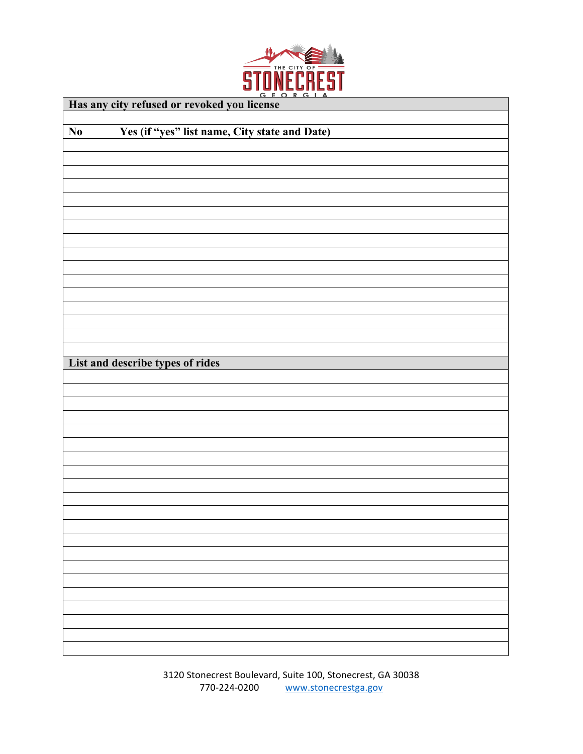

| Has any city refused or revoked you license                             |  |  |  |  |
|-------------------------------------------------------------------------|--|--|--|--|
| Yes (if "yes" list name, City state and Date)<br>$\mathbf{N}\mathbf{0}$ |  |  |  |  |
|                                                                         |  |  |  |  |
|                                                                         |  |  |  |  |
|                                                                         |  |  |  |  |
|                                                                         |  |  |  |  |
|                                                                         |  |  |  |  |
|                                                                         |  |  |  |  |
|                                                                         |  |  |  |  |
|                                                                         |  |  |  |  |
|                                                                         |  |  |  |  |
|                                                                         |  |  |  |  |
|                                                                         |  |  |  |  |
|                                                                         |  |  |  |  |
|                                                                         |  |  |  |  |
|                                                                         |  |  |  |  |
| List and describe types of rides                                        |  |  |  |  |
|                                                                         |  |  |  |  |
|                                                                         |  |  |  |  |
|                                                                         |  |  |  |  |
|                                                                         |  |  |  |  |
|                                                                         |  |  |  |  |
|                                                                         |  |  |  |  |
|                                                                         |  |  |  |  |
|                                                                         |  |  |  |  |
|                                                                         |  |  |  |  |
|                                                                         |  |  |  |  |
|                                                                         |  |  |  |  |
|                                                                         |  |  |  |  |
|                                                                         |  |  |  |  |
|                                                                         |  |  |  |  |
|                                                                         |  |  |  |  |
|                                                                         |  |  |  |  |
|                                                                         |  |  |  |  |
|                                                                         |  |  |  |  |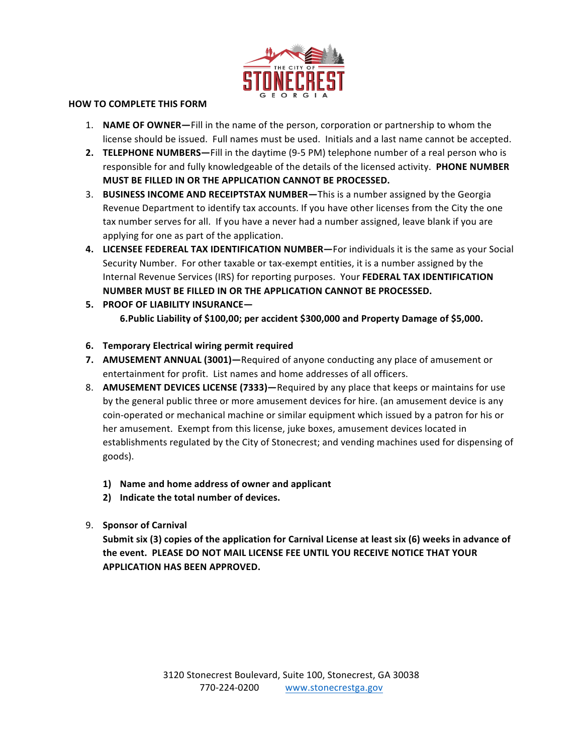

## **HOW TO COMPLETE THIS FORM**

- 1. **NAME OF OWNER**—Fill in the name of the person, corporation or partnership to whom the license should be issued. Full names must be used. Initials and a last name cannot be accepted.
- **2. TELEPHONE NUMBERS—**Fill in the daytime (9-5 PM) telephone number of a real person who is responsible for and fully knowledgeable of the details of the licensed activity. PHONE NUMBER **MUST BE FILLED IN OR THE APPLICATION CANNOT BE PROCESSED.**
- 3. **BUSINESS INCOME AND RECEIPTSTAX NUMBER**—This is a number assigned by the Georgia Revenue Department to identify tax accounts. If you have other licenses from the City the one tax number serves for all. If you have a never had a number assigned, leave blank if you are applying for one as part of the application.
- 4. LICENSEE FEDEREAL TAX IDENTIFICATION NUMBER—For individuals it is the same as your Social Security Number. For other taxable or tax-exempt entities, it is a number assigned by the Internal Revenue Services (IRS) for reporting purposes. Your FEDERAL TAX IDENTIFICATION **NUMBER MUST BE FILLED IN OR THE APPLICATION CANNOT BE PROCESSED.**
- **5. PROOF OF LIABILITY INSURANCE—** 6.Public Liability of \$100,00; per accident \$300,000 and Property Damage of \$5,000.
- **6. Temporary Electrical wiring permit required**
- **7. AMUSEMENT ANNUAL (3001)**—Required of anyone conducting any place of amusement or entertainment for profit. List names and home addresses of all officers.
- 8. **AMUSEMENT DEVICES LICENSE (7333)**—Required by any place that keeps or maintains for use by the general public three or more amusement devices for hire. (an amusement device is any coin-operated or mechanical machine or similar equipment which issued by a patron for his or her amusement. Exempt from this license, juke boxes, amusement devices located in establishments regulated by the City of Stonecrest; and vending machines used for dispensing of goods).
	- **1)** Name and home address of owner and applicant
	- 2) Indicate the total number of devices.
- 9. **Sponsor of Carnival**

Submit six (3) copies of the application for Carnival License at least six (6) weeks in advance of the event. PLEASE DO NOT MAIL LICENSE FEE UNTIL YOU RECEIVE NOTICE THAT YOUR **APPLICATION HAS BEEN APPROVED.**